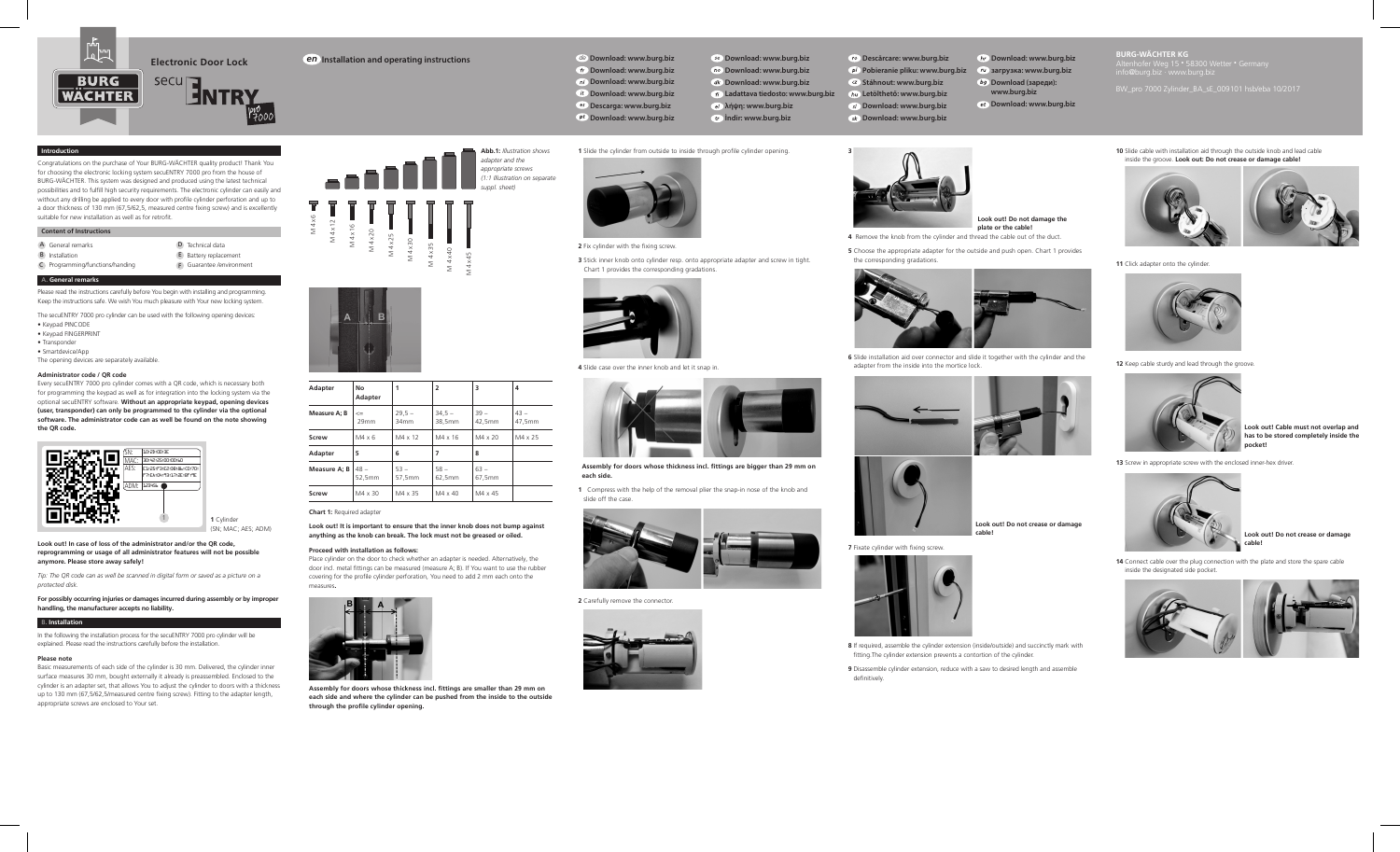

## **Introduction**

Congratulations on the purchase of Your BURG-WÄCHTER quality product! Thank You for choosing the electronic locking system secuENTRY 7000 pro from the house of BURG-WÄCHTER. This system was designed and produced using the latest technical possibilities and to fulfill high security requirements. The electronic cylinder can easily and without any drilling be applied to every door with profile cylinder perforation and up to a door thickness of 130 mm (67,5/62,5, measured centre fixing screw) and is excellently suitable for new installation as well as for retrofit.

## **Content of Instructions**

A General remarks D Technical data B Installation **E** Battery replacement C Programming/functions/handing F Guarantee /environment

# **A. General remarks**

Please read the instructions carefully before You begin with installing and programming. Keep the instructions safe. We wish You much pleasure with Your new locking system.

The secuENTRY 7000 pro cylinder can be used with the following opening devices: • Keypad PINCODE • Keypad FINGERPRINT

• Transponder • Smartdevice/App

The opening devices are separately available.

## **Administrator code / QR code**

Every secuENTRY 7000 pro cylinder comes with a QR code, which is necessary both for programming the keypad as well as for integration into the locking system via the optional secuENTRY software. **Without an appropriate keypad, opening devices (user, transponder) can only be programmed to the cylinder via the optional software. The administrator code can as well be found on the note showing the QR code.**



**Look out! In case of loss of the administrator and/or the QR code, reprogramming or usage of all administrator features will not be possible anymore. Please store away safely!** 

*Tip: The QR code can as well be scanned in digital form or saved as a picture on a protected disk.*

#### **For possibly occurring injuries or damages incurred during assembly or by improper handling, the manufacturer accepts no liability.**

## **B. Installation**

In the following the installation process for the secuENTRY 7000 pro cylinder will be explained. Please read the instructions carefully before the installation.

#### **Please note**

Basic measurements of each side of the cylinder is 30 mm. Delivered, the cylinder inner surface measures 30 mm, bought externally it already is preassembled. Enclosed to the cylinder is an adapter set, that allows You to adjust the cylinder to doors with a thickness up to 130 mm (67,5/62,5/measured centre fixing screw). Fitting to the adapter length, appropriate screws are enclosed to Your set.





| Adapter      | No<br>Adapter    |                  | $\overline{2}$     | 3                | 4                |
|--------------|------------------|------------------|--------------------|------------------|------------------|
| Measure A; B | $\leq$<br>29mm   | $29,5 -$<br>34mm | $34,5 -$<br>38,5mm | $39 -$<br>42,5mm | $43 -$<br>47,5mm |
| Screw        | $M4 \times 6$    | $M4 \times 12$   | M4 x 16            | $M4 \times 20$   | M4 x 25          |
| Adapter      | 5                | 6                |                    | 8                |                  |
| Measure A: B | $48 -$<br>52.5mm | $53 -$<br>57,5mm | $58 -$<br>62.5mm   | $63 -$<br>67,5mm |                  |
| Screw        | M4 x 30          | M4 x 35          | $MA \times 40$     | M4 x 45          |                  |

**Chart 1:** Required adapter

## **Look out! It is important to ensure that the inner knob does not bump against anything as the knob can break. The lock must not be greased or oiled.**

#### **Proceed with installation as follows:**

Place cylinder on the door to check whether an adapter is needed. Alternatively, the door incl. metal fittings can be measured (measure A; B). If You want to use the rubber covering for the profile cylinder perforation, You need to add 2 mm each onto the measures**.**



**Assembly for doors whose thickness incl. fittings are smaller than 29 mm on each side and where the cylinder can be pushed from the inside to the outside through the profile cylinder opening.**

**Installation and operating instructions Download: www.burg.biz** *en de***Download: www.burg.biz**

**2** Fix cylinder with the fixing screw.

Chart 1 provides the corresponding gradations.

**4** Slide case over the inner knob and let it snap in.

 **each side.**

slide off the case.

**2** Carefully remove the connector.

**n***Download:* www.burg.biz

 **Download: www.burg.biz**

 **Descarga: www.burg.biz**

**1** Slide the cylinder from outside to inside through profile cylinder opening.

**3** Stick inner knob onto cylinder resp. onto appropriate adapter and screw in tight.

 **Assembly for doors whose thickness incl. fittings are bigger than 29 mm on** 

**1** Compress with the help of the removal plier the snap-in nose of the knob and

 **Download: www.burg.biz İndir: www.burg.biz**

**no** Download: www.burg.biz **Download: www.burg.biz λήψη: www.burg.biz**

**Download: www.burg.biz**

**Ladattava tiedosto: www.burg.biz Letölthető: www.burg.biz Download: www.burg.biz**

**Descărcare: www.burg.biz Pobieranie pliku: www.burg.biz Stáhnout: www.burg.biz Download: www.burg.biz**

**3** Unscrew the screw.

the corresponding gradations.

**Download: www.burg.biz загрузка: www.burg.biz bg** Download (зареди):

> **Look out! Do not damage the plate or the cable!**

**www.burg.biz Download: www.burg.biz** **BURG-WÄCHTER KG** 

BW\_pro 7000 Zylinder\_BA\_sE\_009101 hsb/eba 10/2017





**11** Click adapter onto the cylinder.



**12** Keep cable sturdy and lead through the groove.



**Look out! Cable must not overlap and has to be stored completely inside the pocket!**





**Look out! Do not crease or damage cable!** 

**14** Connect cable over the plug connection with the plate and store the spare cable inside the designated side pocket.



**6** Slide installation aid over connector and slide it together with the cylinder and the adapter from the inside into the mortice lock.



**4** Remove the knob from the cylinder and thread the cable out of the duct. **5** Choose the appropriate adapter for the outside and push open. Chart 1 provides



**7** Fixate cylinder with fixing screw.



**8** If required, assemble the cylinder extension (inside/outside) and succinctly mark with fitting.The cylinder extension prevents a contortion of the cylinder.

**9** Disassemble cylinder extension, reduce with a saw to desired length and assemble definitively.